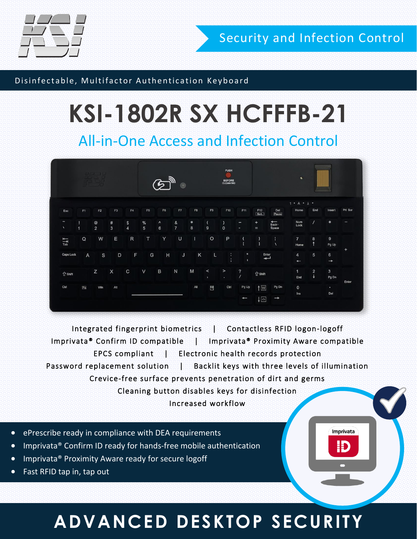

Security and Infection Control

Imprivata

Ð

#### Disinfectable, Multifactor Authentication Keyboard

# **KSI-1802R SX HCFFFB-21**

All-in-One Access and Infection Control

| 177<br>17 Q J                      |                |               |                        |               | $\mathfrak{D}^{\mathbb{N}}$<br>$\bullet$ |                               |                     |                |                | PUSH<br>O)<br><b>BEFORE</b><br>CLEANING |                                          |                            |                                | $\mathbf{S}$            |                                      |                         |         |
|------------------------------------|----------------|---------------|------------------------|---------------|------------------------------------------|-------------------------------|---------------------|----------------|----------------|-----------------------------------------|------------------------------------------|----------------------------|--------------------------------|-------------------------|--------------------------------------|-------------------------|---------|
|                                    |                |               |                        |               |                                          |                               |                     |                |                |                                         |                                          |                            |                                | $1$ • A • $\perp$ •     |                                      |                         |         |
| Esc                                | F1             | F2            | F <sub>3</sub>         | F4            | F <sub>5</sub>                           | F6                            | F7                  | F <sub>8</sub> | F9             | F10                                     | F11                                      | F12                        | Del<br>Pause                   | Home                    | End                                  | Insert                  | Prt Scr |
| $\tilde{\phantom{a}}$<br>$\Lambda$ | $\overline{1}$ | $\frac{1}{2}$ | $\#$<br>$\overline{3}$ | $\frac{1}{4}$ | $\frac{96}{5}$                           | $\Lambda$<br>$\boldsymbol{6}$ | &<br>$\overline{7}$ | $*$<br>8       | $\overline{9}$ | $\mathbf 0$                             | $\overline{\phantom{a}}$                 | $+$<br>$\equiv$            | $\overline{$<br>Back-<br>Space | Num<br>Lock             | $\prime$                             | $\ast$                  | -       |
| $\frac{1}{\text{Tab}}$             | $\Omega$       | W             | Ε                      | $\mathsf{R}$  | T                                        | Y                             | U                   | $\mathbf{I}$   | $\circ$        | P                                       | $\overline{\mathcal{L}}$<br>$\mathbf{I}$ | $\,$<br>$\overline{1}$     | Ŧ<br>$\lambda$                 | $7\overline{ }$<br>Home | 8<br>$\uparrow$                      | $\overline{9}$<br>Pg Up |         |
| Caps Lock                          | $\overline{A}$ | $\mathbf{s}$  | D                      | F             | ${\mathsf G}$                            | H                             | $\sf J$             | Κ              | L              | ÷<br>÷                                  | $\blacksquare$<br>$\mathbf{L}$           | $\overline{\phantom{a}}$   |                                | 4<br>$\leftarrow$       | 5                                    | 6<br>$\rightarrow$      | $+$     |
| <b>个 Shift</b>                     |                | Z             | X                      | $\mathbf C$   | $\vee$                                   | $\mathsf{B}$                  | $\mathsf{N}$        | M              | $\,<$<br>9.    | $\,>\,$<br>$\bullet$ .                  | $\frac{7}{1}$                            | <b>个 Shift</b>             |                                | $\mathbf{1}$<br>End     | $\overline{2}$<br>$\pmb{\downarrow}$ | $\mathbf{3}$<br>Pg Dn   | Enter   |
| Ctrl                               | En             | Win           | Alt                    |               |                                          |                               |                     | Alt            | $\blacksquare$ | Ctrl                                    | Pg Up                                    | 1図<br>$\downarrow \boxdot$ | Pg Dn                          | $\mathsf{o}$<br>Ins     |                                      | $\mathbf{r}$<br>Del     |         |
|                                    |                |               |                        |               |                                          |                               |                     |                |                |                                         | $\leftarrow$                             |                            | $\rightarrow$                  |                         |                                      |                         |         |

Integrated fingerprint biometrics | Contactless RFID logon-logoff Imprivata® Confirm ID compatible | Imprivata® Proximity Aware compatible EPCS compliant | Electronic health records protection Password replacement solution | Backlit keys with three levels of illumination Crevice-free surface prevents penetration of dirt and germs Cleaning button disables keys for disinfection Increased workflow

- ePrescribe ready in compliance with DEA requirements
- Imprivata® Confirm ID ready for hands-free mobile authentication
- Imprivata® Proximity Aware ready for secure logoff
- Fast RFID tap in, tap out

#### **ADVANCED DESKTOP SECURITY**